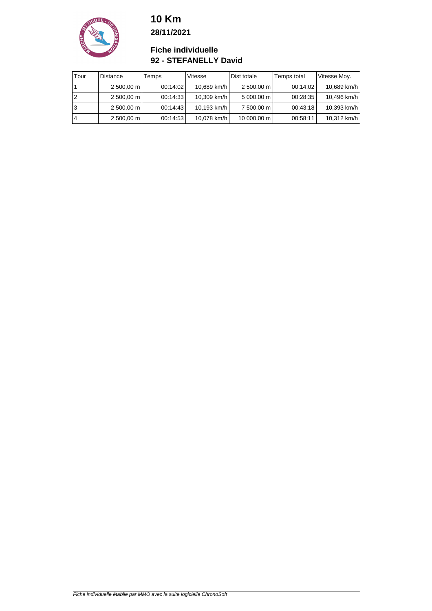

**28/11/2021**

#### **Fiche individuelle 92 - STEFANELLY David**

| Tour | <b>Distance</b> | Temps    | Vitesse     | Dist totale           | Temps total | Vitesse Moy. |
|------|-----------------|----------|-------------|-----------------------|-------------|--------------|
|      | 2 500,00 m      | 00:14:02 | 10,689 km/h | 2 500,00 m            | 00:14:02    | 10,689 km/h  |
| 2    | $2,500,00$ m    | 00:14:33 | 10,309 km/h | $5000,00 \, \text{m}$ | 00:28:35    | 10,496 km/h  |
| 3    | 2 500,00 m      | 00:14:43 | 10,193 km/h | 7 500,00 m            | 00:43:18    | 10,393 km/h  |
| 4    | $2,500,00$ m    | 00:14:53 | 10,078 km/h | 10 000,00 m           | 00:58:11    | 10,312 km/h  |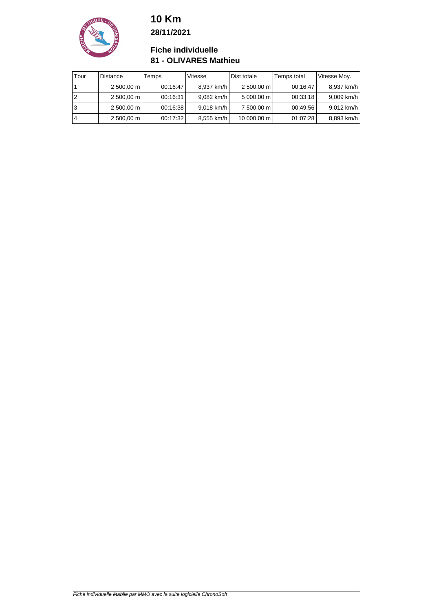

**28/11/2021**

#### **Fiche individuelle 81 - OLIVARES Mathieu**

| Tour | <b>Distance</b> | Temps    | Vitesse    | Dist totale           | Temps total | Vitesse Moy. |
|------|-----------------|----------|------------|-----------------------|-------------|--------------|
|      | 2 500,00 m      | 00:16:47 | 8,937 km/h | 2 500,00 m            | 00:16:47    | 8,937 km/h   |
|      | $2,500,00$ m    | 00:16:31 | 9,082 km/h | $5000,00 \, \text{m}$ | 00:33:18    | 9,009 km/h   |
| 3    | 2 500,00 m      | 00:16:38 | 9,018 km/h | 7 500,00 m            | 00:49:56    | 9,012 km/h   |
| 4    | $2,500,00$ m    | 00:17:32 | 8,555 km/h | 10 000,00 m           | 01:07:28    | 8,893 km/h   |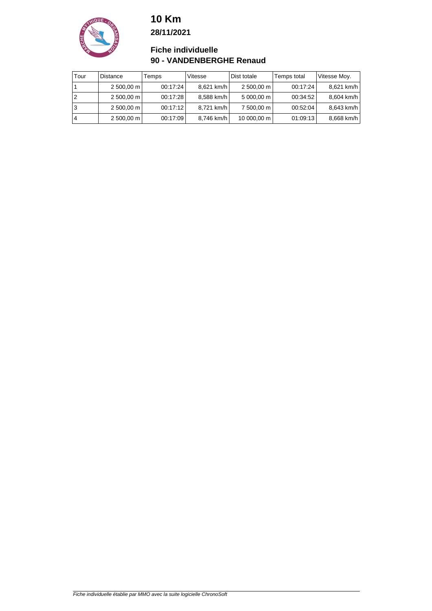**10 Km 28/11/2021**



**Fiche individuelle 90 - VANDENBERGHE Renaud**

| Tour | <b>Distance</b> | Temps    | Vitesse    | Dist totale | Temps total | Vitesse Moy. |
|------|-----------------|----------|------------|-------------|-------------|--------------|
|      | 2 500,00 m      | 00:17:24 | 8,621 km/h | 2 500,00 m  | 00:17:24    | 8,621 km/h   |
|      | 2 500,00 m      | 00:17:28 | 8,588 km/h | 5 000,00 m  | 00:34:52    | 8,604 km/h   |
| 3    | 2 500,00 m      | 00:17:12 | 8,721 km/h | 7 500,00 m  | 00:52:04    | 8,643 km/h   |
| 4    | 2 500,00 m      | 00:17:09 | 8,746 km/h | 10 000,00 m | 01:09:13    | 8,668 km/h   |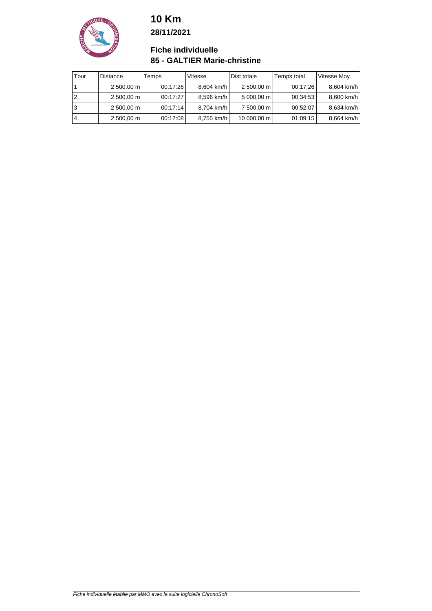**10 Km 28/11/2021**



**Fiche individuelle 85 - GALTIER Marie-christine**

| Tour | <b>Distance</b>     | Temps    | Vitesse    | Dist totale | Temps total | Vitesse Moy. |
|------|---------------------|----------|------------|-------------|-------------|--------------|
|      | $2500,00 \text{ m}$ | 00:17:26 | 8,604 km/h | 2 500,00 m  | 00:17:26    | 8,604 km/h   |
|      | $2500,00 \text{ m}$ | 00:17:27 | 8,596 km/h | 5 000,00 m  | 00:34:53    | 8,600 km/h   |
| 3    | $2500,00 \text{ m}$ | 00:17:14 | 8,704 km/h | 7 500,00 m  | 00:52:07    | 8,634 km/h   |
| 4    | $2500,00 \text{ m}$ | 00:17:08 | 8,755 km/h | 10 000,00 m | 01:09:15    | 8,664 km/h   |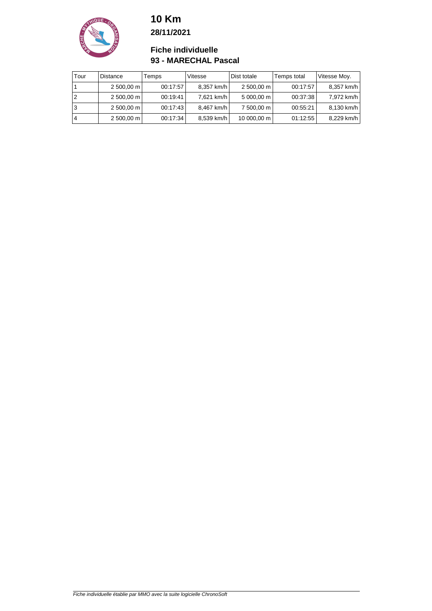

**28/11/2021**

#### **Fiche individuelle 93 - MARECHAL Pascal**

| Tour | <b>Distance</b> | Temps    | Vitesse    | Dist totale | Temps total | Vitesse Moy. |
|------|-----------------|----------|------------|-------------|-------------|--------------|
|      | 2 500,00 m      | 00:17:57 | 8,357 km/h | 2 500,00 m  | 00:17:57    | 8,357 km/h   |
|      | 2 500,00 m      | 00:19:41 | 7,621 km/h | 5 000,00 m  | 00:37:38    | 7,972 km/h   |
| 3    | 2 500,00 m      | 00:17:43 | 8,467 km/h | 7 500,00 m  | 00:55:21    | 8,130 km/h   |
|      | 2 500,00 m      | 00:17:34 | 8,539 km/h | 10 000,00 m | 01:12:55    | 8,229 km/h   |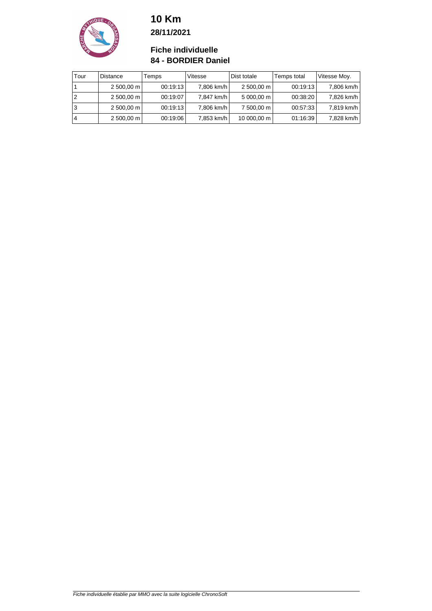

**28/11/2021**

#### **Fiche individuelle 84 - BORDIER Daniel**

| Tour | <b>Distance</b>     | Temps    | Vitesse    | Dist totale | Temps total | Vitesse Moy. |
|------|---------------------|----------|------------|-------------|-------------|--------------|
|      | 2 500,00 m          | 00:19:13 | 7,806 km/h | 2 500,00 m  | 00:19:13    | 7,806 km/h   |
|      | 2 500,00 m          | 00:19:07 | 7,847 km/h | 5 000,00 m  | 00:38:20    | 7,826 km/h   |
| 3    | 2 500,00 m          | 00:19:13 | 7,806 km/h | 7 500,00 m  | 00:57:33    | 7,819 km/h   |
| 4    | $2500,00 \text{ m}$ | 00:19:06 | 7,853 km/h | 10 000,00 m | 01:16:39    | 7,828 km/h   |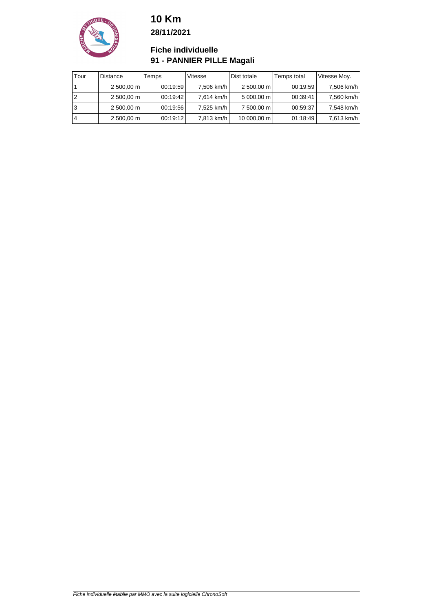

**28/11/2021**

#### **Fiche individuelle 91 - PANNIER PILLE Magali**

| Tour | <b>Distance</b>     | Temps    | Vitesse    | Dist totale           | Temps total | Vitesse Moy. |
|------|---------------------|----------|------------|-----------------------|-------------|--------------|
|      | 2 500,00 m          | 00:19:59 | 7,506 km/h | 2 500,00 m            | 00:19:59    | 7,506 km/h   |
|      | $2500,00 \text{ m}$ | 00:19:42 | 7,614 km/h | $5000,00 \, \text{m}$ | 00:39:41    | 7,560 km/h   |
| 3    | 2 500,00 m          | 00:19:56 | 7,525 km/h | 7 500,00 m            | 00:59:37    | 7,548 km/h   |
| 4    | $2500,00 \text{ m}$ | 00:19:12 | 7,813 km/h | 10 000,00 m           | 01:18:49    | 7,613 km/h   |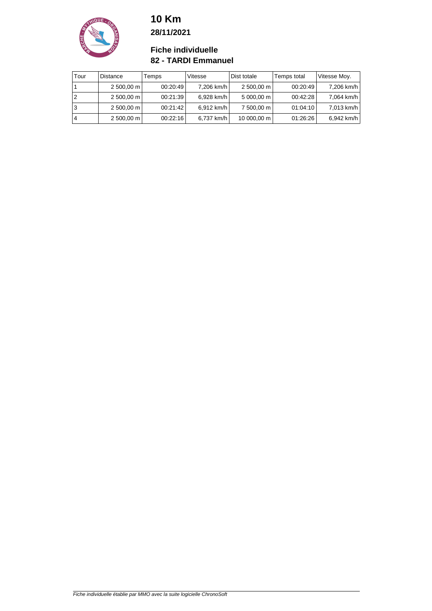### **10 Km 28/11/2021**



**Fiche individuelle 82 - TARDI Emmanuel**

| Tour | Distance            | Temps    | Vitesse    | Dist totale | Temps total | Vitesse Moy. |
|------|---------------------|----------|------------|-------------|-------------|--------------|
|      | $2500,00 \text{ m}$ | 00:20:49 | 7,206 km/h | 2 500,00 m  | 00:20:49    | 7,206 km/h   |
|      | $2500,00 \text{ m}$ | 00:21:39 | 6,928 km/h | 5 000,00 m  | 00:42:28    | 7,064 km/h   |
| 3    | $2500,00 \text{ m}$ | 00:21:42 | 6,912 km/h | 7 500,00 m  | 01:04:10    | 7,013 km/h   |
|      | $2500,00 \text{ m}$ | 00:22:16 | 6,737 km/h | 10 000,00 m | 01:26:26    | 6,942 km/h   |